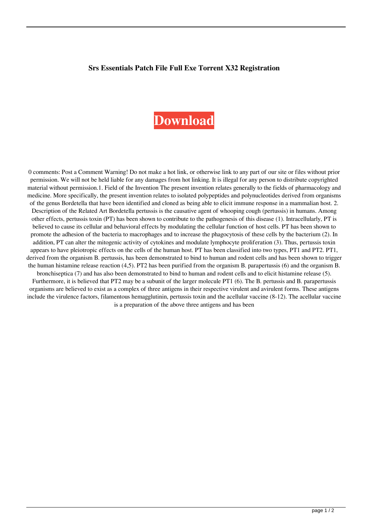## **Srs Essentials Patch File Full Exe Torrent X32 Registration**

## **[Download](http://evacdir.com/alvin/c3JzIGF1ZGlvIGVzc2VudGlhbHMgY3JhY2sga2V5Z2VuIHNlcmlhbCBudW1iZXIc3J/assimilated=ZG93bmxvYWR8b0MwTVRoaE5IeDhNVFkxTWpjME1EZzJObng4TWpVM05IeDhLRTBwSUhKbFlXUXRZbXh2WnlCYlJtRnpkQ0JIUlU1ZA.genealogy/openerthe)**

0 comments: Post a Comment Warning! Do not make a hot link, or otherwise link to any part of our site or files without prior permission. We will not be held liable for any damages from hot linking. It is illegal for any person to distribute copyrighted material without permission.1. Field of the Invention The present invention relates generally to the fields of pharmacology and medicine. More specifically, the present invention relates to isolated polypeptides and polynucleotides derived from organisms of the genus Bordetella that have been identified and cloned as being able to elicit immune response in a mammalian host. 2. Description of the Related Art Bordetella pertussis is the causative agent of whooping cough (pertussis) in humans. Among other effects, pertussis toxin (PT) has been shown to contribute to the pathogenesis of this disease (1). Intracellularly, PT is believed to cause its cellular and behavioral effects by modulating the cellular function of host cells. PT has been shown to promote the adhesion of the bacteria to macrophages and to increase the phagocytosis of these cells by the bacterium (2). In addition, PT can alter the mitogenic activity of cytokines and modulate lymphocyte proliferation (3). Thus, pertussis toxin appears to have pleiotropic effects on the cells of the human host. PT has been classified into two types, PT1 and PT2. PT1, derived from the organism B. pertussis, has been demonstrated to bind to human and rodent cells and has been shown to trigger the human histamine release reaction (4,5). PT2 has been purified from the organism B. parapertussis (6) and the organism B. bronchiseptica (7) and has also been demonstrated to bind to human and rodent cells and to elicit histamine release (5). Furthermore, it is believed that PT2 may be a subunit of the larger molecule PT1 (6). The B. pertussis and B. parapertussis organisms are believed to exist as a complex of three antigens in their respective virulent and avirulent forms. These antigens include the virulence factors, filamentous hemagglutinin, pertussis toxin and the acellular vaccine (8-12). The acellular vaccine is a preparation of the above three antigens and has been